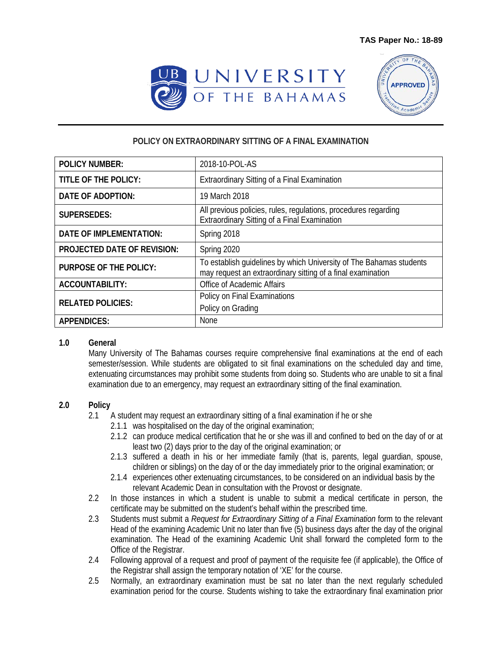



## **POLICY ON EXTRAORDINARY SITTING OF A FINAL EXAMINATION**

| <b>POLICY NUMBER:</b>              | 2018-10-POL-AS                                                                                                                     |
|------------------------------------|------------------------------------------------------------------------------------------------------------------------------------|
| TITLE OF THE POLICY:               | Extraordinary Sitting of a Final Examination                                                                                       |
| <b>DATE OF ADOPTION:</b>           | 19 March 2018                                                                                                                      |
| <b>SUPERSEDES:</b>                 | All previous policies, rules, regulations, procedures regarding<br>Extraordinary Sitting of a Final Examination                    |
| <b>DATE OF IMPLEMENTATION:</b>     | Spring 2018                                                                                                                        |
| <b>PROJECTED DATE OF REVISION:</b> | Spring 2020                                                                                                                        |
| <b>PURPOSE OF THE POLICY:</b>      | To establish guidelines by which University of The Bahamas students<br>may request an extraordinary sitting of a final examination |
| ACCOUNTABILITY:                    | Office of Academic Affairs                                                                                                         |
| <b>RELATED POLICIES:</b>           | Policy on Final Examinations<br>Policy on Grading                                                                                  |
| <b>APPENDICES:</b>                 | None                                                                                                                               |

## **1.0 General**

Many University of The Bahamas courses require comprehensive final examinations at the end of each semester/session. While students are obligated to sit final examinations on the scheduled day and time, extenuating circumstances may prohibit some students from doing so. Students who are unable to sit a final examination due to an emergency, may request an extraordinary sitting of the final examination.

## **2.0 Policy**

- 2.1 A student may request an extraordinary sitting of a final examination if he or she
	- 2.1.1 was hospitalised on the day of the original examination;
	- 2.1.2 can produce medical certification that he or she was ill and confined to bed on the day of or at least two (2) days prior to the day of the original examination; or
	- 2.1.3 suffered a death in his or her immediate family (that is, parents, legal guardian, spouse, children or siblings) on the day of or the day immediately prior to the original examination; or
	- 2.1.4 experiences other extenuating circumstances, to be considered on an individual basis by the relevant Academic Dean in consultation with the Provost or designate.
- 2.2 In those instances in which a student is unable to submit a medical certificate in person, the certificate may be submitted on the student's behalf within the prescribed time.
- 2.3 Students must submit a *Request for Extraordinary Sitting of a Final Examination* form to the relevant Head of the examining Academic Unit no later than five (5) business days after the day of the original examination. The Head of the examining Academic Unit shall forward the completed form to the Office of the Registrar.
- 2.4 Following approval of a request and proof of payment of the requisite fee (if applicable), the Office of the Registrar shall assign the temporary notation of 'XE' for the course.
- 2.5 Normally, an extraordinary examination must be sat no later than the next regularly scheduled examination period for the course. Students wishing to take the extraordinary final examination prior